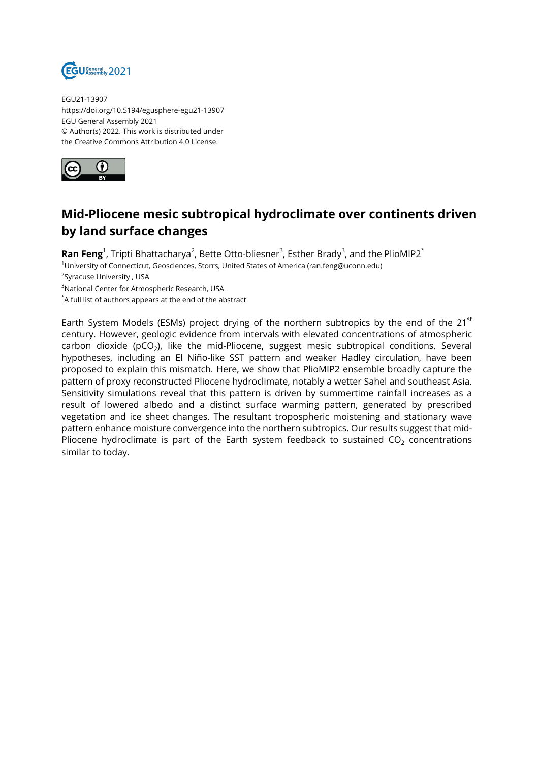

EGU21-13907 https://doi.org/10.5194/egusphere-egu21-13907 EGU General Assembly 2021 © Author(s) 2022. This work is distributed under the Creative Commons Attribution 4.0 License.



## **Mid-Pliocene mesic subtropical hydroclimate over continents driven by land surface changes**

**Ran Feng**<sup>1</sup>, Tripti Bhattacharya<sup>2</sup>, Bette Otto-bliesner<sup>3</sup>, Esther Brady<sup>3</sup>, and the PlioMIP2<sup>\*</sup> <sup>1</sup>University of Connecticut, Geosciences, Storrs, United States of America (ran.feng@uconn.edu) <sup>2</sup>Syracuse University , USA <sup>3</sup>National Center for Atmospheric Research, USA \*A full list of authors appears at the end of the abstract

Earth System Models (ESMs) project drying of the northern subtropics by the end of the  $21^{st}$ century. However, geologic evidence from intervals with elevated concentrations of atmospheric carbon dioxide (pCO<sub>2</sub>), like the mid-Pliocene, suggest mesic subtropical conditions. Several hypotheses, including an El Niño-like SST pattern and weaker Hadley circulation, have been proposed to explain this mismatch. Here, we show that PlioMIP2 ensemble broadly capture the pattern of proxy reconstructed Pliocene hydroclimate, notably a wetter Sahel and southeast Asia. Sensitivity simulations reveal that this pattern is driven by summertime rainfall increases as a result of lowered albedo and a distinct surface warming pattern, generated by prescribed vegetation and ice sheet changes. The resultant tropospheric moistening and stationary wave pattern enhance moisture convergence into the northern subtropics. Our results suggest that mid-Pliocene hydroclimate is part of the Earth system feedback to sustained  $CO<sub>2</sub>$  concentrations similar to today.